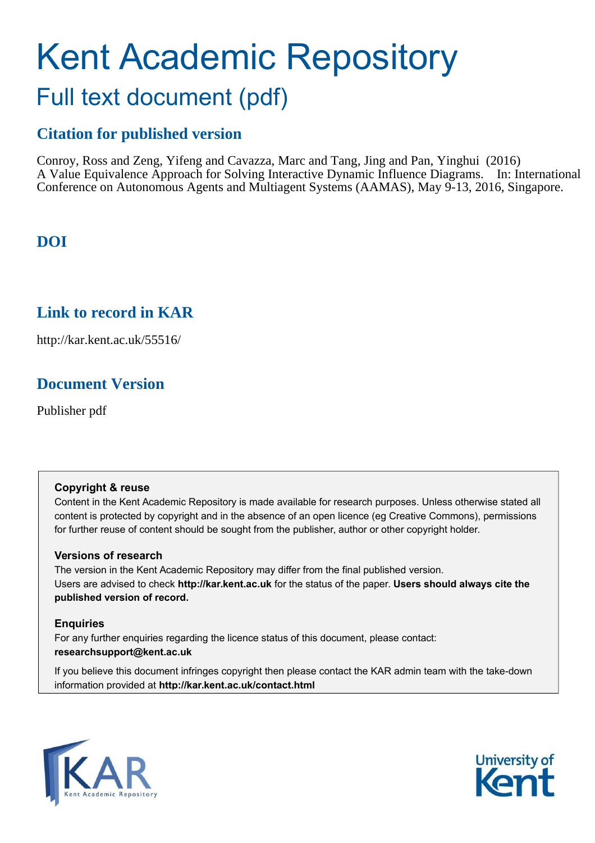# Kent Academic Repository Full text document (pdf)

# **Citation for published version**

Conroy, Ross and Zeng, Yifeng and Cavazza, Marc and Tang, Jing and Pan, Yinghui (2016) A Value Equivalence Approach for Solving Interactive Dynamic Influence Diagrams. In: International Conference on Autonomous Agents and Multiagent Systems (AAMAS), May 9-13, 2016, Singapore.

# **DOI**

## **Link to record in KAR**

http://kar.kent.ac.uk/55516/

# **Document Version**

Publisher pdf

## **Copyright & reuse**

Content in the Kent Academic Repository is made available for research purposes. Unless otherwise stated all content is protected by copyright and in the absence of an open licence (eg Creative Commons), permissions for further reuse of content should be sought from the publisher, author or other copyright holder.

## **Versions of research**

The version in the Kent Academic Repository may differ from the final published version. Users are advised to check **http://kar.kent.ac.uk** for the status of the paper. **Users should always cite the published version of record.**

## **Enquiries**

For any further enquiries regarding the licence status of this document, please contact: **researchsupport@kent.ac.uk**

If you believe this document infringes copyright then please contact the KAR admin team with the take-down information provided at **http://kar.kent.ac.uk/contact.html**



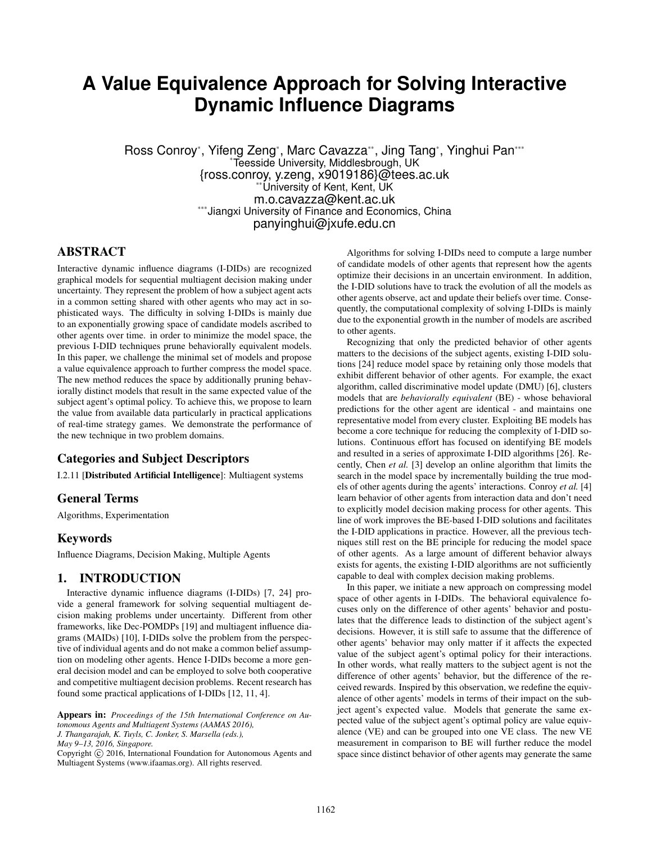# **A Value Equivalence Approach for Solving Interactive Dynamic Influence Diagrams**

Ross Conroy\*, Yifeng Zeng\*, Marc Cavazza\*\*, Jing Tang\*, Yinghui Pan\*\*\* \*Teesside University, Middlesbrough, UK {ross.conroy, y.zeng, x9019186}@tees.ac.uk \*\*University of Kent, Kent, UK m.o.cavazza@kent.ac.uk \*\*\*Jiangxi University of Finance and Economics, China panyinghui@jxufe.edu.cn

#### ABSTRACT

Interactive dynamic influence diagrams (I-DIDs) are recognized graphical models for sequential multiagent decision making under uncertainty. They represent the problem of how a subject agent acts in a common setting shared with other agents who may act in sophisticated ways. The difficulty in solving I-DIDs is mainly due to an exponentially growing space of candidate models ascribed to other agents over time. in order to minimize the model space, the previous I-DID techniques prune behaviorally equivalent models. In this paper, we challenge the minimal set of models and propose a value equivalence approach to further compress the model space. The new method reduces the space by additionally pruning behaviorally distinct models that result in the same expected value of the subject agent's optimal policy. To achieve this, we propose to learn the value from available data particularly in practical applications of real-time strategy games. We demonstrate the performance of the new technique in two problem domains.

#### Categories and Subject Descriptors

I.2.11 [Distributed Artificial Intelligence]: Multiagent systems

#### General Terms

Algorithms, Experimentation

#### Keywords

Influence Diagrams, Decision Making, Multiple Agents

#### 1. INTRODUCTION

Interactive dynamic influence diagrams (I-DIDs) [7, 24] provide a general framework for solving sequential multiagent decision making problems under uncertainty. Different from other frameworks, like Dec-POMDPs [19] and multiagent influence diagrams (MAIDs) [10], I-DIDs solve the problem from the perspective of individual agents and do not make a common belief assumption on modeling other agents. Hence I-DIDs become a more general decision model and can be employed to solve both cooperative and competitive multiagent decision problems. Recent research has found some practical applications of I-DIDs [12, 11, 4].

Appears in: *Proceedings of the 15th International Conference on Autonomous Agents and Multiagent Systems (AAMAS 2016), J. Thangarajah, K. Tuyls, C. Jonker, S. Marsella (eds.), May 9–13, 2016, Singapore.*

Copyright (C) 2016, International Foundation for Autonomous Agents and Multiagent Systems (www.ifaamas.org). All rights reserved.

Algorithms for solving I-DIDs need to compute a large number of candidate models of other agents that represent how the agents optimize their decisions in an uncertain environment. In addition, the I-DID solutions have to track the evolution of all the models as other agents observe, act and update their beliefs over time. Consequently, the computational complexity of solving I-DIDs is mainly due to the exponential growth in the number of models are ascribed to other agents.

Recognizing that only the predicted behavior of other agents matters to the decisions of the subject agents, existing I-DID solutions [24] reduce model space by retaining only those models that exhibit different behavior of other agents. For example, the exact algorithm, called discriminative model update (DMU) [6], clusters models that are *behaviorally equivalent* (BE) - whose behavioral predictions for the other agent are identical - and maintains one representative model from every cluster. Exploiting BE models has become a core technique for reducing the complexity of I-DID solutions. Continuous effort has focused on identifying BE models and resulted in a series of approximate I-DID algorithms [26]. Recently, Chen *et al.* [3] develop an online algorithm that limits the search in the model space by incrementally building the true models of other agents during the agents' interactions. Conroy *et al.* [4] learn behavior of other agents from interaction data and don't need to explicitly model decision making process for other agents. This line of work improves the BE-based I-DID solutions and facilitates the I-DID applications in practice. However, all the previous techniques still rest on the BE principle for reducing the model space of other agents. As a large amount of different behavior always exists for agents, the existing I-DID algorithms are not sufficiently capable to deal with complex decision making problems.

In this paper, we initiate a new approach on compressing model space of other agents in I-DIDs. The behavioral equivalence focuses only on the difference of other agents' behavior and postulates that the difference leads to distinction of the subject agent's decisions. However, it is still safe to assume that the difference of other agents' behavior may only matter if it affects the expected value of the subject agent's optimal policy for their interactions. In other words, what really matters to the subject agent is not the difference of other agents' behavior, but the difference of the received rewards. Inspired by this observation, we redefine the equivalence of other agents' models in terms of their impact on the subject agent's expected value. Models that generate the same expected value of the subject agent's optimal policy are value equivalence (VE) and can be grouped into one VE class. The new VE measurement in comparison to BE will further reduce the model space since distinct behavior of other agents may generate the same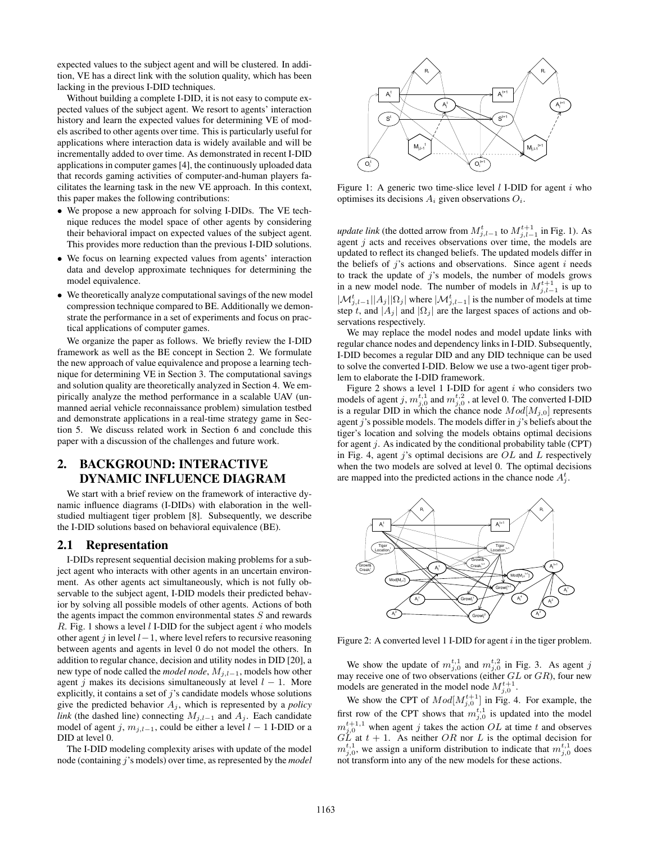expected values to the subject agent and will be clustered. In addition, VE has a direct link with the solution quality, which has been lacking in the previous I-DID techniques.

Without building a complete I-DID, it is not easy to compute expected values of the subject agent. We resort to agents' interaction history and learn the expected values for determining VE of models ascribed to other agents over time. This is particularly useful for applications where interaction data is widely available and will be incrementally added to over time. As demonstrated in recent I-DID applications in computer games [4], the continuously uploaded data that records gaming activities of computer-and-human players facilitates the learning task in the new VE approach. In this context, this paper makes the following contributions:

- We propose a new approach for solving I-DIDs. The VE technique reduces the model space of other agents by considering their behavioral impact on expected values of the subject agent. This provides more reduction than the previous I-DID solutions.
- We focus on learning expected values from agents' interaction data and develop approximate techniques for determining the model equivalence.
- We theoretically analyze computational savings of the new model compression technique compared to BE. Additionally we demonstrate the performance in a set of experiments and focus on practical applications of computer games.

We organize the paper as follows. We briefly review the I-DID framework as well as the BE concept in Section 2. We formulate the new approach of value equivalence and propose a learning technique for determining VE in Section 3. The computational savings and solution quality are theoretically analyzed in Section 4. We empirically analyze the method performance in a scalable UAV (unmanned aerial vehicle reconnaissance problem) simulation testbed and demonstrate applications in a real-time strategy game in Section 5. We discuss related work in Section 6 and conclude this paper with a discussion of the challenges and future work.

## 2. BACKGROUND: INTERACTIVE DYNAMIC INFLUENCE DIAGRAM

We start with a brief review on the framework of interactive dynamic influence diagrams (I-DIDs) with elaboration in the wellstudied multiagent tiger problem [8]. Subsequently, we describe the I-DID solutions based on behavioral equivalence (BE).

#### 2.1 Representation

I-DIDs represent sequential decision making problems for a subject agent who interacts with other agents in an uncertain environment. As other agents act simultaneously, which is not fully observable to the subject agent, I-DID models their predicted behavior by solving all possible models of other agents. Actions of both the agents impact the common environmental states  $S$  and rewards R. Fig. 1 shows a level  $l$  I-DID for the subject agent  $i$  who models other agent j in level  $l-1$ , where level refers to recursive reasoning between agents and agents in level 0 do not model the others. In addition to regular chance, decision and utility nodes in DID [20], a new type of node called the *model node*,  $M_{j,l-1}$ , models how other agent j makes its decisions simultaneously at level  $l - 1$ . More explicitly, it contains a set of  $j$ 's candidate models whose solutions give the predicted behavior  $A_i$ , which is represented by a *policy link* (the dashed line) connecting  $M_{i,l-1}$  and  $A_i$ . Each candidate model of agent j,  $m_{i,l-1}$ , could be either a level  $l - 1$  I-DID or a DID at level 0.

The I-DID modeling complexity arises with update of the model node (containing j's models) over time, as represented by the *model*



Figure 1: A generic two time-slice level  $l$  I-DID for agent  $i$  who optimises its decisions  $A_i$  given observations  $O_i$ .

*update link* (the dotted arrow from  $M_{j,l-1}^t$  to  $M_{j,l-1}^{t+1}$  in Fig. 1). As agent  $j$  acts and receives observations over time, the models are updated to reflect its changed beliefs. The updated models differ in the beliefs of  $j$ 's actions and observations. Since agent  $i$  needs to track the update of  $j$ 's models, the number of models grows in a new model node. The number of models in  $M_{j,l-1}^{t+1}$  is up to  $|\mathcal{M}_{j,l-1}^t||A_j||\Omega_j|$  where  $|\mathcal{M}_{j,l-1}^t|$  is the number of models at time step t, and  $|A_j|$  and  $|\Omega_j|$  are the largest spaces of actions and observations respectively.

We may replace the model nodes and model update links with regular chance nodes and dependency links in I-DID. Subsequently, I-DID becomes a regular DID and any DID technique can be used to solve the converted I-DID. Below we use a two-agent tiger problem to elaborate the I-DID framework.

Figure 2 shows a level 1 I-DID for agent  $i$  who considers two models of agent j,  $m_{j,0}^{t,1}$  and  $m_{j,0}^{t,2}$  , at level 0. The converted I-DID is a regular DID in which the chance node  $Mod[M_{j,0}]$  represents agent  $j$ 's possible models. The models differ in  $j$ 's beliefs about the tiger's location and solving the models obtains optimal decisions for agent  $j$ . As indicated by the conditional probability table (CPT) in Fig. 4, agent j's optimal decisions are  $OL$  and  $L$  respectively when the two models are solved at level 0. The optimal decisions are mapped into the predicted actions in the chance node  $A_j^t$ .



Figure 2: A converted level 1 I-DID for agent  $i$  in the tiger problem.

We show the update of  $m_{j,0}^{t,1}$  and  $m_{j,0}^{t,2}$  in Fig. 3. As agent j may receive one of two observations (either  $GL$  or  $GR$ ), four new models are generated in the model node  $M_{j,0}^{t+1}$ .

We show the CPT of  $Mod[M_{j,0}^{t+1}]$  in Fig. 4. For example, the first row of the CPT shows that  $m_{j,0}^{t,1}$  is updated into the model  $m_{j,0}^{t+1,1}$  when agent j takes the action OL at time t and observes  $GL$  at  $t + 1$ . As neither OR nor L is the optimal decision for  $m_{j,0}^{t,1}$ , we assign a uniform distribution to indicate that  $m_{j,0}^{t,1}$  does not transform into any of the new models for these actions.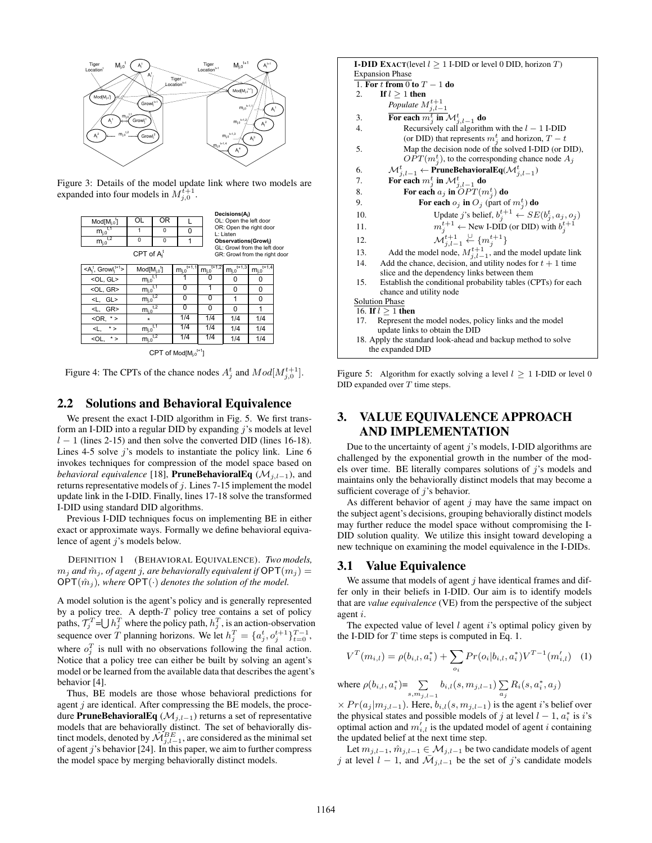

Figure 3: Details of the model update link where two models are expanded into four models in  $M_{j,0}^{t+1}$ .



 $\mathsf{CPT}$  of Mod[M $_{\mathsf{j},0}$ t+1]

Figure 4: The CPTs of the chance nodes  $A_j^t$  and  $Mod[M_{j,0}^{t+1}]$ .

#### 2.2 Solutions and Behavioral Equivalence

We present the exact I-DID algorithm in Fig. 5. We first transform an I-DID into a regular DID by expanding  $\dot{\gamma}$ 's models at level  $l - 1$  (lines 2-15) and then solve the converted DID (lines 16-18). Lines 4-5 solve  $j$ 's models to instantiate the policy link. Line 6 invokes techniques for compression of the model space based on *behavioral equivalence* [18], **PruneBehavioralEq** ( $\mathcal{M}_{i,l-1}$ ), and returns representative models of  $j$ . Lines 7-15 implement the model update link in the I-DID. Finally, lines 17-18 solve the transformed I-DID using standard DID algorithms.

Previous I-DID techniques focus on implementing BE in either exact or approximate ways. Formally we define behavioral equivalence of agent *j*'s models below.

DEFINITION 1 (BEHAVIORAL EQUIVALENCE). *Two models,*  $m_j$  *and*  $\hat{m}_j$ , *of agent j, are behaviorally equivalent if*  $\mathsf{OPT}(m_j)$  =  $OPT(\hat{m}_i)$ , where  $OPT(\cdot)$  denotes the solution of the model.

A model solution is the agent's policy and is generally represented by a policy tree. A depth- $T$  policy tree contains a set of policy paths,  $\mathcal{T}_j^T = \bigcup h_j^T$  where the policy path,  $h_j^T$ , is an action-observation sequence over T planning horizons. We let  $h_j^T = \{a_j^t, o_j^{t+1}\}_{t=0}^{T-1}$ , where  $o_j^T$  is null with no observations following the final action. Notice that a policy tree can either be built by solving an agent's model or be learned from the available data that describes the agent's behavior [4].

Thus, BE models are those whose behavioral predictions for agent  $j$  are identical. After compressing the BE models, the procedure PruneBehavioralEq ( $\mathcal{M}_{j,l-1}$ ) returns a set of representative models that are behaviorally distinct. The set of behaviorally distinct models, denoted by  $\hat{\mathcal{M}}_{j,l-1}^{BE}$ , are considered as the minimal set of agent  $j$ 's behavior [24]. In this paper, we aim to further compress the model space by merging behaviorally distinct models.

|                  | <b>I-DID EXACT</b> (level $l \geq 1$ I-DID or level 0 DID, horizon T)                                                                  |  |  |  |  |
|------------------|----------------------------------------------------------------------------------------------------------------------------------------|--|--|--|--|
|                  | <b>Expansion Phase</b>                                                                                                                 |  |  |  |  |
|                  | 1. For t from 0 to $T-1$ do                                                                                                            |  |  |  |  |
| 2.               | If $l > 1$ then                                                                                                                        |  |  |  |  |
|                  | Populate $M^{t+1}_{j,l-1}$<br>For each $m^t_j$ in $\mathcal{M}^t_{j,l-1}$ do                                                           |  |  |  |  |
| 3.               |                                                                                                                                        |  |  |  |  |
| 4.               | Recursively call algorithm with the $l - 1$ I-DID                                                                                      |  |  |  |  |
|                  | (or DID) that represents $m_i^t$ and horizon, $T - t$                                                                                  |  |  |  |  |
| 5.               | Map the decision node of the solved I-DID (or DID),                                                                                    |  |  |  |  |
|                  | $OPT(m_j^t)$ , to the corresponding chance node $A_j$                                                                                  |  |  |  |  |
| 6.               | $\mathcal{M}_{j,l-1}^t \leftarrow \textbf{PruneBehavioralEq}(\mathcal{M}_{j,l-1}^t)$<br>For each $m_j^t$ in $\mathcal{M}_{j,l-1}^t$ do |  |  |  |  |
| 7.               |                                                                                                                                        |  |  |  |  |
| 8.               | For each $a_j$ in $OPT(m_j^t)$ do                                                                                                      |  |  |  |  |
| 9.               | For each $o_j$ in $O_j$ (part of $m_j^t$ ) do                                                                                          |  |  |  |  |
| 10.              | Update j's belief, $b_j^{t+1} \leftarrow SE(b_j^t, a_j, o_j)$                                                                          |  |  |  |  |
| 11.              | $m_j^{t+1} \leftarrow$ New I-DID (or DID) with $b_j^{t+1}$                                                                             |  |  |  |  |
| 12.              | $\mathcal{M}_{i,l-1}^{t+1} \overset{\cup}{\leftarrow} \{m_j^{t+1}\}\$                                                                  |  |  |  |  |
| 13.              | Add the model node, $M_{i,l-1}^{t+1}$ , and the model update link                                                                      |  |  |  |  |
| 14.              | Add the chance, decision, and utility nodes for $t + 1$ time                                                                           |  |  |  |  |
|                  | slice and the dependency links between them                                                                                            |  |  |  |  |
| 15.              | Establish the conditional probability tables (CPTs) for each                                                                           |  |  |  |  |
|                  | chance and utility node                                                                                                                |  |  |  |  |
|                  | <b>Solution Phase</b>                                                                                                                  |  |  |  |  |
|                  | 16. If $l \geq 1$ then                                                                                                                 |  |  |  |  |
| 17.              | Represent the model nodes, policy links and the model                                                                                  |  |  |  |  |
|                  | update links to obtain the DID                                                                                                         |  |  |  |  |
|                  | 18. Apply the standard look-ahead and backup method to solve                                                                           |  |  |  |  |
| the expanded DID |                                                                                                                                        |  |  |  |  |

Figure 5: Algorithm for exactly solving a level  $l > 1$  I-DID or level 0 DID expanded over  $T$  time steps.

### 3. VALUE EQUIVALENCE APPROACH AND IMPLEMENTATION

Due to the uncertainty of agent  $i$ 's models, I-DID algorithms are challenged by the exponential growth in the number of the models over time. BE literally compares solutions of  $j$ 's models and maintains only the behaviorally distinct models that may become a sufficient coverage of  $j$ 's behavior.

As different behavior of agent  $j$  may have the same impact on the subject agent's decisions, grouping behaviorally distinct models may further reduce the model space without compromising the I-DID solution quality. We utilize this insight toward developing a new technique on examining the model equivalence in the I-DIDs.

#### 3.1 Value Equivalence

We assume that models of agent  $j$  have identical frames and differ only in their beliefs in I-DID. Our aim is to identify models that are *value equivalence* (VE) from the perspective of the subject agent i.

The expected value of level  $l$  agent  $i$ 's optimal policy given by the I-DID for  $T$  time steps is computed in Eq. 1.

$$
V^{T}(m_{i,l}) = \rho(b_{i,l}, a_{i}^{*}) + \sum_{o_{i}} Pr(o_{i}|b_{i,l}, a_{i}^{*}) V^{T-1}(m'_{i,l}) \quad (1)
$$

where 
$$
\rho(b_{i,l}, a_i^*) = \sum_{s,m_{j,l-1}} b_{i,l}(s, m_{j,l-1}) \sum_{a_j} R_i(s, a_i^*, a_j)
$$

 $\times Pr(a_j|m_{j,l-1})$ . Here,  $b_{i,l}(s, m_{j,l-1})$  is the agent i's belief over the physical states and possible models of j at level  $l - 1$ ,  $a_i^*$  is i's optimal action and  $m'_{i,l}$  is the updated model of agent i containing the updated belief at the next time step.

Let  $m_{j,l-1}, \hat{m}_{j,l-1} \in \mathcal{M}_{j,l-1}$  be two candidate models of agent j at level  $l - 1$ , and  $\overline{\mathcal{M}}_{j,l-1}$  be the set of j's candidate models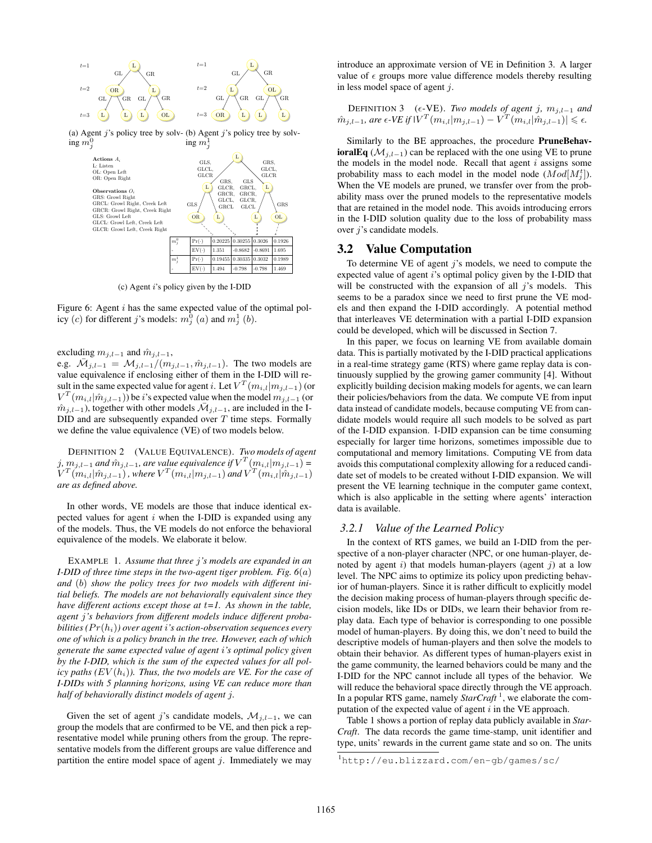



(c) Agent i's policy given by the I-DID

Figure 6: Agent *i* has the same expected value of the optimal policy (c) for different j's models:  $m_j^0(a)$  and  $m_j^1(b)$ .

excluding  $m_{j,l-1}$  and  $\hat{m}_{j,l-1}$ ,

e.g.  $\overline{\mathcal{M}}_{j,l-1} = \mathcal{M}_{j,l-1}/(m_{j,l-1}, \hat{m}_{j,l-1})$ . The two models are value equivalence if enclosing either of them in the I-DID will result in the same expected value for agent *i*. Let  $V^T(m_{i,l}|m_{j,l-1})$  (or  $V^T(m_{i,l}|\hat{m}_{j,l-1})$ ) be *i*'s expected value when the model  $m_{j,l-1}$  (or  $\hat{m}_{j,l-1}$ , together with other models  $\bar{\mathcal{M}}_{j,l-1}$ , are included in the I-DID and are subsequently expanded over  $T$  time steps. Formally we define the value equivalence (VE) of two models below.

DEFINITION 2 (VALUE EQUIVALENCE). *Two models of agent* j,  $m_{j,l-1}$  and  $\hat{m}_{j,l-1}$ , are value equivalence if  $V^T(m_{i,l}|m_{j,l-1})$  =  $V^T(m_{i,l} | \hat{m}_{j,l-1})$  , where  $V^T(m_{i,l} | m_{j,l-1})$  and  $V^T(m_{i,l} | \hat{m}_{j,l-1})$ *are as defined above.*

In other words, VE models are those that induce identical expected values for agent  $i$  when the I-DID is expanded using any of the models. Thus, the VE models do not enforce the behavioral equivalence of the models. We elaborate it below.

EXAMPLE 1. *Assume that three* j*'s models are expanded in an I-DID of three time steps in the two-agent tiger problem. Fig. 6*(a) *and* (b) *show the policy trees for two models with different initial beliefs. The models are not behaviorally equivalent since they have different actions except those at* t*=1. As shown in the table, agent* j*'s behaviors from different models induce different probabilities*  $(Pr(h_i))$  over agent *i*'s action-observation sequences every *one of which is a policy branch in the tree. However, each of which generate the same expected value of agent* i*'s optimal policy given by the I-DID, which is the sum of the expected values for all pol* $icy$  paths  $(EV(h_i))$ . Thus, the two models are VE. For the case of *I-DIDs with 5 planning horizons, using VE can reduce more than half of behaviorally distinct models of agent* j*.*

Given the set of agent j's candidate models,  $\mathcal{M}_{j,l-1}$ , we can group the models that are confirmed to be VE, and then pick a representative model while pruning others from the group. The representative models from the different groups are value difference and partition the entire model space of agent  $j$ . Immediately we may introduce an approximate version of VE in Definition 3. A larger value of  $\epsilon$  groups more value difference models thereby resulting in less model space of agent j.

DEFINITION 3 ( $\epsilon$ -VE). *Two models of agent j,*  $m_{j,l-1}$  *and*  $m_{j,l-1}$ , are  $\epsilon$ -VE if  $|V^T(m_{i,l}|m_{j,l-1}) - V^T(m_{i,l}|\hat{m}_{j,l-1})|$  ≤  $\epsilon$ *.* 

Similarly to the BE approaches, the procedure PruneBehavioralEq ( $\mathcal{M}_{i,l-1}$ ) can be replaced with the one using VE to prune the models in the model node. Recall that agent  $i$  assigns some probability mass to each model in the model node  $(Mod[M_j^t])$ . When the VE models are pruned, we transfer over from the probability mass over the pruned models to the representative models that are retained in the model node. This avoids introducing errors in the I-DID solution quality due to the loss of probability mass over j's candidate models.

#### 3.2 Value Computation

To determine VE of agent  $j$ 's models, we need to compute the expected value of agent i's optimal policy given by the I-DID that will be constructed with the expansion of all  $j$ 's models. This seems to be a paradox since we need to first prune the VE models and then expand the I-DID accordingly. A potential method that interleaves VE determination with a partial I-DID expansion could be developed, which will be discussed in Section 7.

In this paper, we focus on learning VE from available domain data. This is partially motivated by the I-DID practical applications in a real-time strategy game (RTS) where game replay data is continuously supplied by the growing gamer community [4]. Without explicitly building decision making models for agents, we can learn their policies/behaviors from the data. We compute VE from input data instead of candidate models, because computing VE from candidate models would require all such models to be solved as part of the I-DID expansion. I-DID expansion can be time consuming especially for larger time horizons, sometimes impossible due to computational and memory limitations. Computing VE from data avoids this computational complexity allowing for a reduced candidate set of models to be created without I-DID expansion. We will present the VE learning technique in the computer game context, which is also applicable in the setting where agents' interaction data is available.

#### *3.2.1 Value of the Learned Policy*

In the context of RTS games, we build an I-DID from the perspective of a non-player character (NPC, or one human-player, denoted by agent i) that models human-players (agent j) at a low level. The NPC aims to optimize its policy upon predicting behavior of human-players. Since it is rather difficult to explicitly model the decision making process of human-players through specific decision models, like IDs or DIDs, we learn their behavior from replay data. Each type of behavior is corresponding to one possible model of human-players. By doing this, we don't need to build the descriptive models of human-players and then solve the models to obtain their behavior. As different types of human-players exist in the game community, the learned behaviors could be many and the I-DID for the NPC cannot include all types of the behavior. We will reduce the behavioral space directly through the VE approach. In a popular RTS game, namely *StarCraft* <sup>1</sup> , we elaborate the computation of the expected value of agent  $i$  in the VE approach.

Table 1 shows a portion of replay data publicly available in *Star-Craft*. The data records the game time-stamp, unit identifier and type, units' rewards in the current game state and so on. The units

<sup>1</sup>http://eu.blizzard.com/en-gb/games/sc/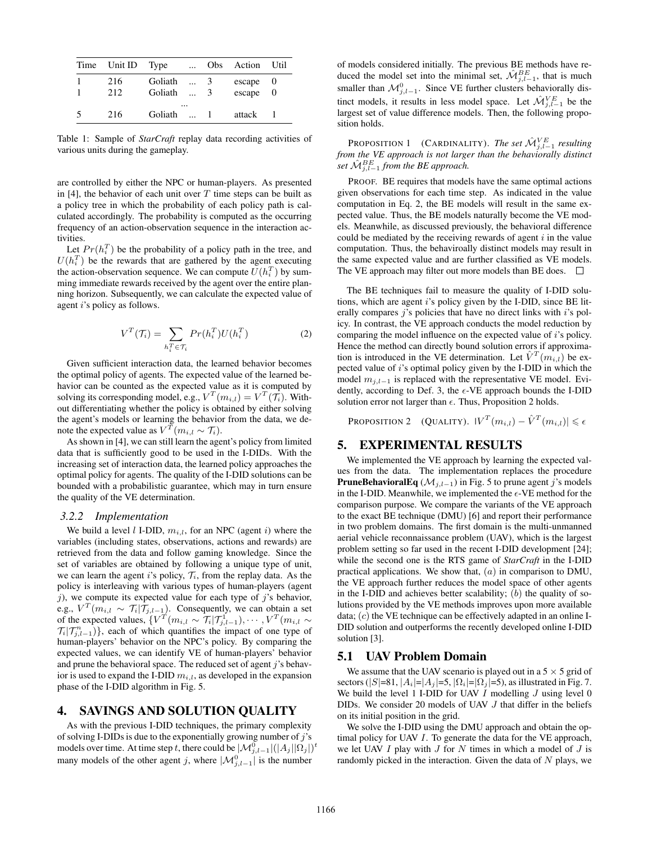| Time Unit ID | Type               | $\dddotsc$ | Obs.          | Action           | Util |
|--------------|--------------------|------------|---------------|------------------|------|
| 216<br>212   | Goliath<br>Goliath |            | $\mathcal{R}$ | escape<br>escape | 0    |
| 216          | Goliath            | $\cdots$   |               | attack           |      |

Table 1: Sample of *StarCraft* replay data recording activities of various units during the gameplay.

are controlled by either the NPC or human-players. As presented in [4], the behavior of each unit over  $T$  time steps can be built as a policy tree in which the probability of each policy path is calculated accordingly. The probability is computed as the occurring frequency of an action-observation sequence in the interaction activities.

Let  $Pr(h_i^T)$  be the probability of a policy path in the tree, and  $U(h_i^T)$  be the rewards that are gathered by the agent executing the action-observation sequence. We can compute  $U(h_i^T)$  by summing immediate rewards received by the agent over the entire planning horizon. Subsequently, we can calculate the expected value of agent *i*'s policy as follows.

$$
V^T(\mathcal{T}_i) = \sum_{h_i^T \in \mathcal{T}_i} Pr(h_i^T) U(h_i^T)
$$
 (2)

Given sufficient interaction data, the learned behavior becomes the optimal policy of agents. The expected value of the learned behavior can be counted as the expected value as it is computed by solving its corresponding model, e.g.,  $V^T(m_{i,l}) = V^T(\mathcal{T}_i)$ . Without differentiating whether the policy is obtained by either solving the agent's models or learning the behavior from the data, we denote the expected value as  $V^{\bar{T}}(m_{i,l} \sim \mathcal{T}_i)$ .

As shown in [4], we can still learn the agent's policy from limited data that is sufficiently good to be used in the I-DIDs. With the increasing set of interaction data, the learned policy approaches the optimal policy for agents. The quality of the I-DID solutions can be bounded with a probabilistic guarantee, which may in turn ensure the quality of the VE determination.

#### *3.2.2 Implementation*

We build a level *l* I-DID,  $m_{i,l}$ , for an NPC (agent *i*) where the variables (including states, observations, actions and rewards) are retrieved from the data and follow gaming knowledge. Since the set of variables are obtained by following a unique type of unit, we can learn the agent i's policy,  $\mathcal{T}_i$ , from the replay data. As the policy is interleaving with various types of human-players (agent  $j$ ), we compute its expected value for each type of  $j$ 's behavior, e.g.,  $V^T(m_{i,l} \sim \mathcal{T}_i | \mathcal{T}_{j,l-1})$ . Consequently, we can obtain a set of the expected values,  $\{V^T(m_{i,l} \sim \overline{\mathcal{T}}_i | \mathcal{T}_{j,l-1}^1), \cdots, V^T(m_{i,l} \sim \overline{\mathcal{T}}_i\})$  $\mathcal{T}_i| \mathcal{T}_{j,l-1}^n$ , each of which quantifies the impact of one type of human-players' behavior on the NPC's policy. By comparing the expected values, we can identify VE of human-players' behavior and prune the behavioral space. The reduced set of agent  $j$ 's behavior is used to expand the I-DID  $m_{i,l}$ , as developed in the expansion phase of the I-DID algorithm in Fig. 5.

#### 4. SAVINGS AND SOLUTION QUALITY

As with the previous I-DID techniques, the primary complexity of solving I-DIDs is due to the exponentially growing number of  $j$ 's models over time. At time step t, there could be  $|\mathcal{M}_{j,l-1}^0|(|A_j||\Omega_j|)^t$ many models of the other agent j, where  $|\mathcal{M}_{j,l-1}^0|$  is the number

of models considered initially. The previous BE methods have reduced the model set into the minimal set,  $\hat{\mathcal{M}}_{j,l-1}^{BE}$ , that is much smaller than  $\mathcal{M}_{j,l-1}^0$ . Since VE further clusters behaviorally distinct models, it results in less model space. Let  $\hat{\mathcal{M}}_{j,l-1}^{VE}$  be the largest set of value difference models. Then, the following proposition holds.

**PROPOSITION 1** (CARDINALITY). *The set*  $\hat{\mathcal{M}}_{j,l-1}^{VE}$  resulting *from the VE approach is not larger than the behaviorally distinct* set  $\hat{\mathcal{M}}_{j,l-1}^{BE}$  from the BE approach.

PROOF. BE requires that models have the same optimal actions given observations for each time step. As indicated in the value computation in Eq. 2, the BE models will result in the same expected value. Thus, the BE models naturally become the VE models. Meanwhile, as discussed previously, the behavioral difference could be mediated by the receiving rewards of agent  $i$  in the value computation. Thus, the behaviroally distinct models may result in the same expected value and are further classified as VE models. The VE approach may filter out more models than BE does.  $\Box$ 

The BE techniques fail to measure the quality of I-DID solutions, which are agent i's policy given by the I-DID, since BE literally compares  $j$ 's policies that have no direct links with  $i$ 's policy. In contrast, the VE approach conducts the model reduction by comparing the model influence on the expected value of i's policy. Hence the method can directly bound solution errors if approximation is introduced in the VE determination. Let  $\hat{V}^T(m_{i,l})$  be expected value of i's optimal policy given by the I-DID in which the model  $m_{j,l-1}$  is replaced with the representative VE model. Evidently, according to Def. 3, the  $\epsilon$ -VE approach bounds the I-DID solution error not larger than  $\epsilon$ . Thus, Proposition 2 holds.

Proposition 2 (Quality).  $|V^T(m_{i,l}) - \hat{V}^T(m_{i,l})| \leqslant \epsilon$ 

#### 5. EXPERIMENTAL RESULTS

We implemented the VE approach by learning the expected values from the data. The implementation replaces the procedure **PruneBehavioralEq** ( $\mathcal{M}_{j,l-1}$ ) in Fig. 5 to prune agent j's models in the I-DID. Meanwhile, we implemented the  $\epsilon$ -VE method for the comparison purpose. We compare the variants of the VE approach to the exact BE technique (DMU) [6] and report their performance in two problem domains. The first domain is the multi-unmanned aerial vehicle reconnaissance problem (UAV), which is the largest problem setting so far used in the recent I-DID development [24]; while the second one is the RTS game of *StarCraft* in the I-DID practical applications. We show that,  $(a)$  in comparison to DMU, the VE approach further reduces the model space of other agents in the I-DID and achieves better scalability;  $(b)$  the quality of solutions provided by the VE methods improves upon more available data;  $(c)$  the VE technique can be effectively adapted in an online I-DID solution and outperforms the recently developed online I-DID solution [3].

#### 5.1 UAV Problem Domain

We assume that the UAV scenario is played out in a  $5 \times 5$  grid of sectors (|S|=81,  $|A_i|=|A_j|=5$ ,  $|\Omega_i|=|\Omega_j|=5$ ), as illustrated in Fig. 7. We build the level 1 I-DID for UAV  $I$  modelling  $J$  using level 0 DIDs. We consider 20 models of UAV J that differ in the beliefs on its initial position in the grid.

We solve the I-DID using the DMU approach and obtain the optimal policy for UAV I. To generate the data for the VE approach, we let UAV  $I$  play with  $J$  for  $N$  times in which a model of  $J$  is randomly picked in the interaction. Given the data of  $N$  plays, we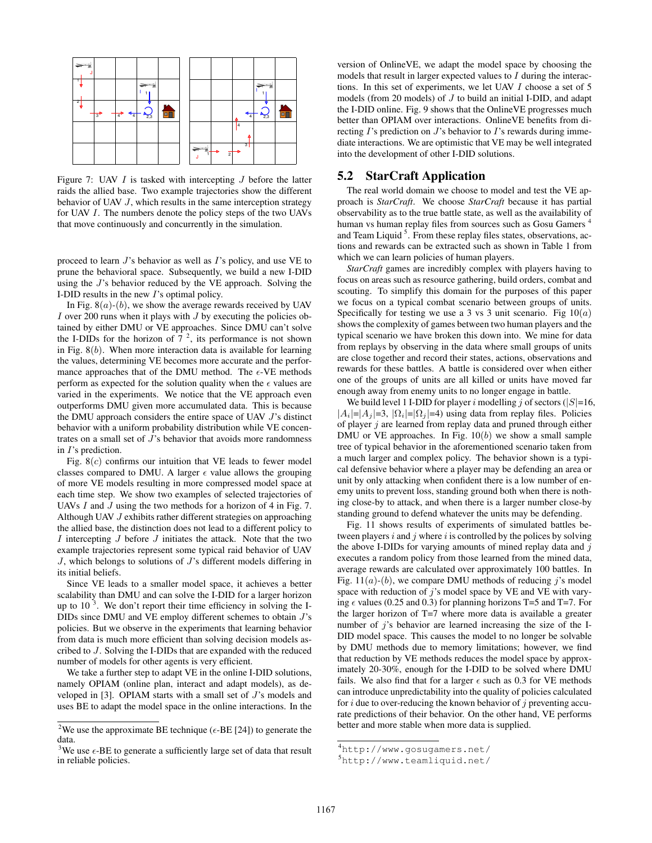

Figure 7: UAV  $I$  is tasked with intercepting  $J$  before the latter raids the allied base. Two example trajectories show the different behavior of UAV J, which results in the same interception strategy for UAV I. The numbers denote the policy steps of the two UAVs that move continuously and concurrently in the simulation.

proceed to learn  $J$ 's behavior as well as  $I$ 's policy, and use VE to prune the behavioral space. Subsequently, we build a new I-DID using the J's behavior reduced by the VE approach. Solving the I-DID results in the new I's optimal policy.

In Fig.  $8(a)-(b)$ , we show the average rewards received by UAV I over 200 runs when it plays with  $J$  by executing the policies obtained by either DMU or VE approaches. Since DMU can't solve the I-DIDs for the horizon of  $7<sup>2</sup>$ , its performance is not shown in Fig.  $8(b)$ . When more interaction data is available for learning the values, determining VE becomes more accurate and the performance approaches that of the DMU method. The  $\epsilon$ -VE methods perform as expected for the solution quality when the  $\epsilon$  values are varied in the experiments. We notice that the VE approach even outperforms DMU given more accumulated data. This is because the DMU approach considers the entire space of UAV J's distinct behavior with a uniform probability distribution while VE concentrates on a small set of J's behavior that avoids more randomness in I's prediction.

Fig.  $8(c)$  confirms our intuition that VE leads to fewer model classes compared to DMU. A larger  $\epsilon$  value allows the grouping of more VE models resulting in more compressed model space at each time step. We show two examples of selected trajectories of UAVs I and J using the two methods for a horizon of 4 in Fig. 7. Although UAV J exhibits rather different strategies on approaching the allied base, the distinction does not lead to a different policy to  $I$  intercepting  $J$  before  $J$  initiates the attack. Note that the two example trajectories represent some typical raid behavior of UAV  $J$ , which belongs to solutions of  $J$ 's different models differing in its initial beliefs.

Since VE leads to a smaller model space, it achieves a better scalability than DMU and can solve the I-DID for a larger horizon up to  $10^{-3}$ . We don't report their time efficiency in solving the I-DIDs since DMU and VE employ different schemes to obtain  $J$ 's policies. But we observe in the experiments that learning behavior from data is much more efficient than solving decision models ascribed to J. Solving the I-DIDs that are expanded with the reduced number of models for other agents is very efficient.

We take a further step to adapt VE in the online I-DID solutions, namely OPIAM (online plan, interact and adapt models), as developed in  $[3]$ . OPIAM starts with a small set of  $J$ 's models and uses BE to adapt the model space in the online interactions. In the

version of OnlineVE, we adapt the model space by choosing the models that result in larger expected values to  $I$  during the interactions. In this set of experiments, we let UAV I choose a set of 5 models (from 20 models) of J to build an initial I-DID, and adapt the I-DID online. Fig. 9 shows that the OnlineVE progresses much better than OPIAM over interactions. OnlineVE benefits from directing  $I$ 's prediction on  $J$ 's behavior to  $I$ 's rewards during immediate interactions. We are optimistic that VE may be well integrated into the development of other I-DID solutions.

#### 5.2 StarCraft Application

The real world domain we choose to model and test the VE approach is *StarCraft*. We choose *StarCraft* because it has partial observability as to the true battle state, as well as the availability of human vs human replay files from sources such as Gosu Gamers<sup>4</sup> and Team Liquid<sup>5</sup>. From these replay files states, observations, actions and rewards can be extracted such as shown in Table 1 from which we can learn policies of human players.

*StarCraft* games are incredibly complex with players having to focus on areas such as resource gathering, build orders, combat and scouting. To simplify this domain for the purposes of this paper we focus on a typical combat scenario between groups of units. Specifically for testing we use a 3 vs 3 unit scenario. Fig  $10(a)$ shows the complexity of games between two human players and the typical scenario we have broken this down into. We mine for data from replays by observing in the data where small groups of units are close together and record their states, actions, observations and rewards for these battles. A battle is considered over when either one of the groups of units are all killed or units have moved far enough away from enemy units to no longer engage in battle.

We build level 1 I-DID for player i modelling j of sectors ( $|S|=16$ ,  $|A_i|=|A_j|=3$ ,  $|\Omega_i|=|\Omega_j|=4$ ) using data from replay files. Policies of player  $j$  are learned from replay data and pruned through either DMU or VE approaches. In Fig.  $10(b)$  we show a small sample tree of typical behavior in the aforementioned scenario taken from a much larger and complex policy. The behavior shown is a typical defensive behavior where a player may be defending an area or unit by only attacking when confident there is a low number of enemy units to prevent loss, standing ground both when there is nothing close-by to attack, and when there is a larger number close-by standing ground to defend whatever the units may be defending.

Fig. 11 shows results of experiments of simulated battles between players  $i$  and  $j$  where  $i$  is controlled by the polices by solving the above I-DIDs for varying amounts of mined replay data and  $j$ executes a random policy from those learned from the mined data, average rewards are calculated over approximately 100 battles. In Fig. 11( $a$ )-( $b$ ), we compare DMU methods of reducing j's model space with reduction of  $j$ 's model space by VE and VE with varying  $\epsilon$  values (0.25 and 0.3) for planning horizons T=5 and T=7. For the larger horizon of T=7 where more data is available a greater number of  $j$ 's behavior are learned increasing the size of the I-DID model space. This causes the model to no longer be solvable by DMU methods due to memory limitations; however, we find that reduction by VE methods reduces the model space by approximately 20-30%, enough for the I-DID to be solved where DMU fails. We also find that for a larger  $\epsilon$  such as 0.3 for VE methods can introduce unpredictability into the quality of policies calculated for  $i$  due to over-reducing the known behavior of  $j$  preventing accurate predictions of their behavior. On the other hand, VE performs better and more stable when more data is supplied.

<sup>&</sup>lt;sup>2</sup>We use the approximate BE technique ( $\epsilon$ -BE [24]) to generate the data.

<sup>&</sup>lt;sup>3</sup>We use  $\epsilon$ -BE to generate a sufficiently large set of data that result in reliable policies.

<sup>4</sup>http://www.gosugamers.net/

<sup>5</sup>http://www.teamliquid.net/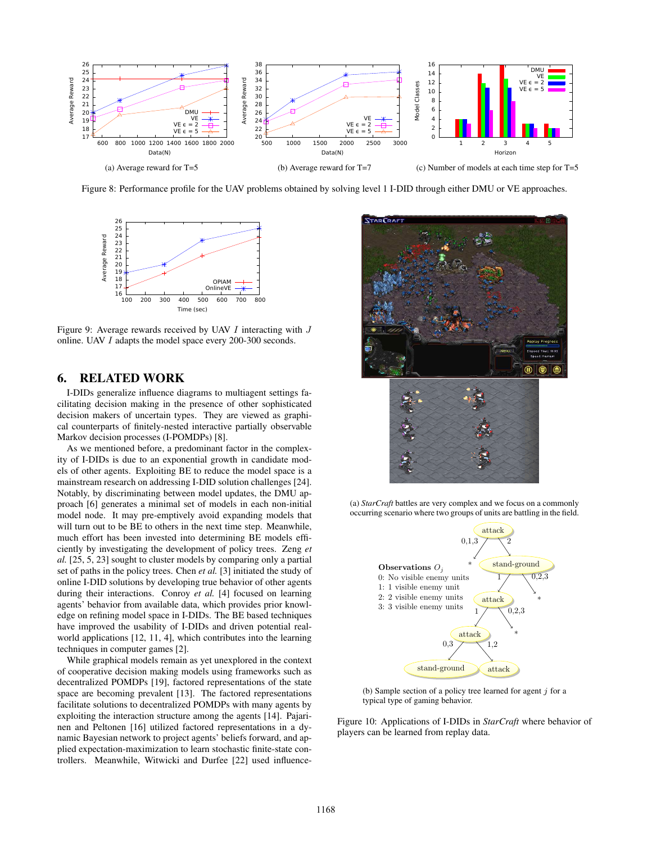

Figure 8: Performance profile for the UAV problems obtained by solving level 1 I-DID through either DMU or VE approaches.



Figure 9: Average rewards received by UAV  $I$  interacting with  $J$ online. UAV I adapts the model space every 200-300 seconds.

#### 6. RELATED WORK

I-DIDs generalize influence diagrams to multiagent settings facilitating decision making in the presence of other sophisticated decision makers of uncertain types. They are viewed as graphical counterparts of finitely-nested interactive partially observable Markov decision processes (I-POMDPs) [8].

As we mentioned before, a predominant factor in the complexity of I-DIDs is due to an exponential growth in candidate models of other agents. Exploiting BE to reduce the model space is a mainstream research on addressing I-DID solution challenges [24]. Notably, by discriminating between model updates, the DMU approach [6] generates a minimal set of models in each non-initial model node. It may pre-emptively avoid expanding models that will turn out to be BE to others in the next time step. Meanwhile, much effort has been invested into determining BE models efficiently by investigating the development of policy trees. Zeng *et al.* [25, 5, 23] sought to cluster models by comparing only a partial set of paths in the policy trees. Chen *et al.* [3] initiated the study of online I-DID solutions by developing true behavior of other agents during their interactions. Conroy *et al.* [4] focused on learning agents' behavior from available data, which provides prior knowledge on refining model space in I-DIDs. The BE based techniques have improved the usability of I-DIDs and driven potential realworld applications [12, 11, 4], which contributes into the learning techniques in computer games [2].

While graphical models remain as yet unexplored in the context of cooperative decision making models using frameworks such as decentralized POMDPs [19], factored representations of the state space are becoming prevalent [13]. The factored representations facilitate solutions to decentralized POMDPs with many agents by exploiting the interaction structure among the agents [14]. Pajarinen and Peltonen [16] utilized factored representations in a dynamic Bayesian network to project agents' beliefs forward, and applied expectation-maximization to learn stochastic finite-state controllers. Meanwhile, Witwicki and Durfee [22] used influence-



(a) *StarCraft* battles are very complex and we focus on a commonly occurring scenario where two groups of units are battling in the field.



(b) Sample section of a policy tree learned for agent  $j$  for a typical type of gaming behavior.

Figure 10: Applications of I-DIDs in *StarCraft* where behavior of players can be learned from replay data.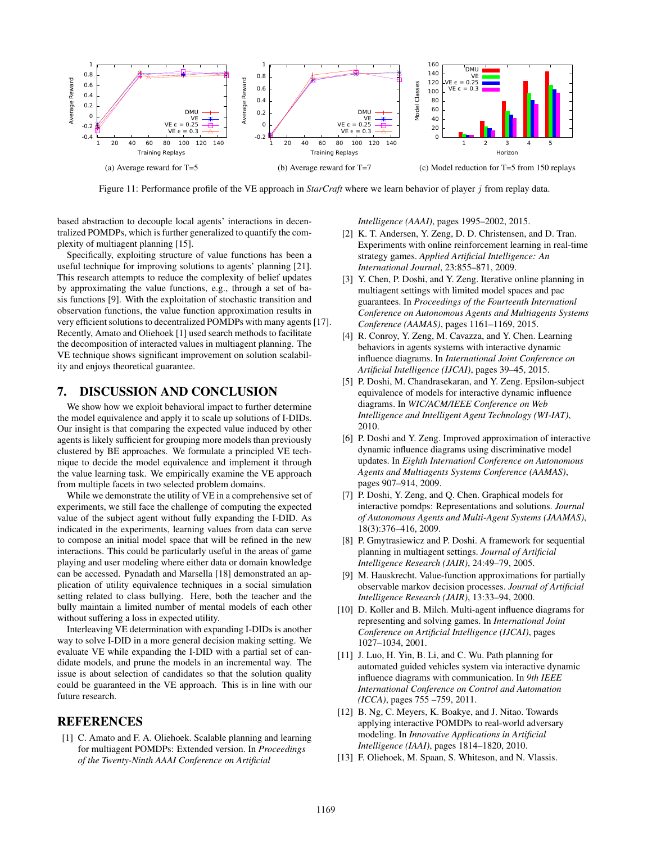

Figure 11: Performance profile of the VE approach in *StarCraft* where we learn behavior of player j from replay data.

based abstraction to decouple local agents' interactions in decentralized POMDPs, which is further generalized to quantify the complexity of multiagent planning [15].

Specifically, exploiting structure of value functions has been a useful technique for improving solutions to agents' planning [21]. This research attempts to reduce the complexity of belief updates by approximating the value functions, e.g., through a set of basis functions [9]. With the exploitation of stochastic transition and observation functions, the value function approximation results in very efficient solutions to decentralized POMDPs with many agents [17]. Recently, Amato and Oliehoek [1] used search methods to facilitate the decomposition of interacted values in multiagent planning. The VE technique shows significant improvement on solution scalability and enjoys theoretical guarantee.

#### 7. DISCUSSION AND CONCLUSION

We show how we exploit behavioral impact to further determine the model equivalence and apply it to scale up solutions of I-DIDs. Our insight is that comparing the expected value induced by other agents is likely sufficient for grouping more models than previously clustered by BE approaches. We formulate a principled VE technique to decide the model equivalence and implement it through the value learning task. We empirically examine the VE approach from multiple facets in two selected problem domains.

While we demonstrate the utility of VE in a comprehensive set of experiments, we still face the challenge of computing the expected value of the subject agent without fully expanding the I-DID. As indicated in the experiments, learning values from data can serve to compose an initial model space that will be refined in the new interactions. This could be particularly useful in the areas of game playing and user modeling where either data or domain knowledge can be accessed. Pynadath and Marsella [18] demonstrated an application of utility equivalence techniques in a social simulation setting related to class bullying. Here, both the teacher and the bully maintain a limited number of mental models of each other without suffering a loss in expected utility.

Interleaving VE determination with expanding I-DIDs is another way to solve I-DID in a more general decision making setting. We evaluate VE while expanding the I-DID with a partial set of candidate models, and prune the models in an incremental way. The issue is about selection of candidates so that the solution quality could be guaranteed in the VE approach. This is in line with our future research.

#### **REFERENCES**

[1] C. Amato and F. A. Oliehoek. Scalable planning and learning for multiagent POMDPs: Extended version. In *Proceedings of the Twenty-Ninth AAAI Conference on Artificial*

*Intelligence (AAAI)*, pages 1995–2002, 2015.

- [2] K. T. Andersen, Y. Zeng, D. D. Christensen, and D. Tran. Experiments with online reinforcement learning in real-time strategy games. *Applied Artificial Intelligence: An International Journal*, 23:855–871, 2009.
- [3] Y. Chen, P. Doshi, and Y. Zeng. Iterative online planning in multiagent settings with limited model spaces and pac guarantees. In *Proceedings of the Fourteenth Internationl Conference on Autonomous Agents and Multiagents Systems Conference (AAMAS)*, pages 1161–1169, 2015.
- [4] R. Conroy, Y. Zeng, M. Cavazza, and Y. Chen. Learning behaviors in agents systems with interactive dynamic influence diagrams. In *International Joint Conference on Artificial Intelligence (IJCAI)*, pages 39–45, 2015.
- [5] P. Doshi, M. Chandrasekaran, and Y. Zeng. Epsilon-subject equivalence of models for interactive dynamic influence diagrams. In *WIC/ACM/IEEE Conference on Web Intelligence and Intelligent Agent Technology (WI-IAT)*, 2010.
- [6] P. Doshi and Y. Zeng. Improved approximation of interactive dynamic influence diagrams using discriminative model updates. In *Eighth Internationl Conference on Autonomous Agents and Multiagents Systems Conference (AAMAS)*, pages 907–914, 2009.
- [7] P. Doshi, Y. Zeng, and Q. Chen. Graphical models for interactive pomdps: Representations and solutions. *Journal of Autonomous Agents and Multi-Agent Systems (JAAMAS)*, 18(3):376–416, 2009.
- [8] P. Gmytrasiewicz and P. Doshi. A framework for sequential planning in multiagent settings. *Journal of Artificial Intelligence Research (JAIR)*, 24:49–79, 2005.
- [9] M. Hauskrecht. Value-function approximations for partially observable markov decision processes. *Journal of Artificial Intelligence Research (JAIR)*, 13:33–94, 2000.
- [10] D. Koller and B. Milch. Multi-agent influence diagrams for representing and solving games. In *International Joint Conference on Artificial Intelligence (IJCAI)*, pages 1027–1034, 2001.
- [11] J. Luo, H. Yin, B. Li, and C. Wu. Path planning for automated guided vehicles system via interactive dynamic influence diagrams with communication. In *9th IEEE International Conference on Control and Automation (ICCA)*, pages 755 –759, 2011.
- [12] B. Ng, C. Meyers, K. Boakye, and J. Nitao. Towards applying interactive POMDPs to real-world adversary modeling. In *Innovative Applications in Artificial Intelligence (IAAI)*, pages 1814–1820, 2010.
- [13] F. Oliehoek, M. Spaan, S. Whiteson, and N. Vlassis.